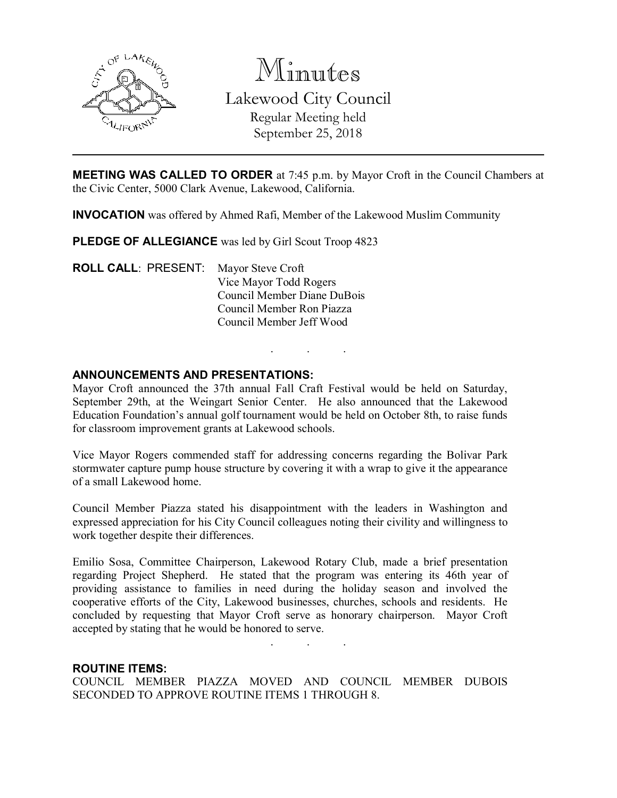

Minutes Lakewood City Council Regular Meeting held September 25, 2018

MEETING WAS CALLED TO ORDER at 7:45 p.m. by Mayor Croft in the Council Chambers at the Civic Center, 5000 Clark Avenue, Lakewood, California.

INVOCATION was offered by Ahmed Rafi, Member of the Lakewood Muslim Community

PLEDGE OF ALLEGIANCE was led by Girl Scout Troop 4823

ROLL CALL: PRESENT: Mayor Steve Croft Vice Mayor Todd Rogers Council Member Diane DuBois Council Member Ron Piazza Council Member Jeff Wood

### ANNOUNCEMENTS AND PRESENTATIONS:

Mayor Croft announced the 37th annual Fall Craft Festival would be held on Saturday, September 29th, at the Weingart Senior Center. He also announced that the Lakewood Education Foundation's annual golf tournament would be held on October 8th, to raise funds for classroom improvement grants at Lakewood schools.

. . .

Vice Mayor Rogers commended staff for addressing concerns regarding the Bolivar Park stormwater capture pump house structure by covering it with a wrap to give it the appearance of a small Lakewood home.

Council Member Piazza stated his disappointment with the leaders in Washington and expressed appreciation for his City Council colleagues noting their civility and willingness to work together despite their differences.

Emilio Sosa, Committee Chairperson, Lakewood Rotary Club, made a brief presentation regarding Project Shepherd. He stated that the program was entering its 46th year of providing assistance to families in need during the holiday season and involved the cooperative efforts of the City, Lakewood businesses, churches, schools and residents. He concluded by requesting that Mayor Croft serve as honorary chairperson. Mayor Croft accepted by stating that he would be honored to serve.

. . .

#### ROUTINE ITEMS:

COUNCIL MEMBER PIAZZA MOVED AND COUNCIL MEMBER DUBOIS SECONDED TO APPROVE ROUTINE ITEMS 1 THROUGH 8.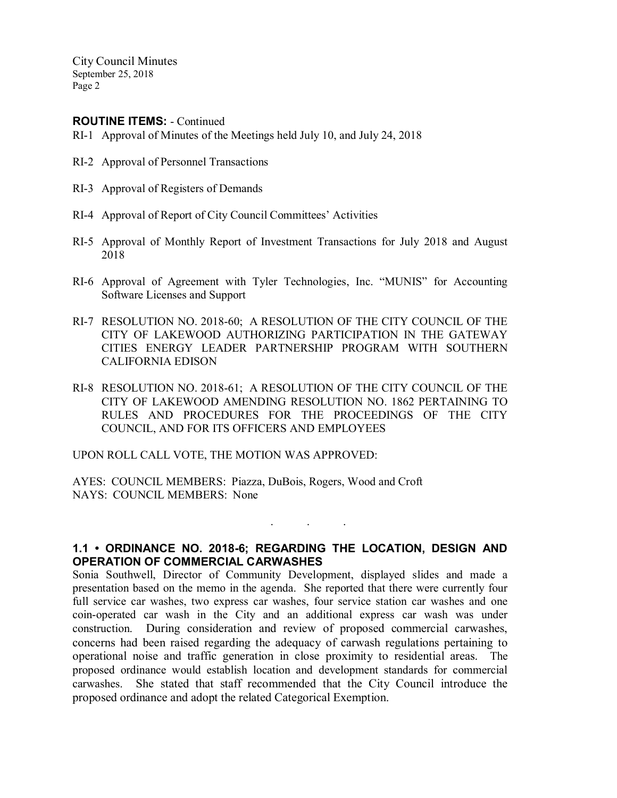ROUTINE ITEMS: - Continued

- RI-1 Approval of Minutes of the Meetings held July 10, and July 24, 2018
- RI-2 Approval of Personnel Transactions
- RI-3 Approval of Registers of Demands
- RI-4 Approval of Report of City Council Committees' Activities
- RI-5 Approval of Monthly Report of Investment Transactions for July 2018 and August 2018
- RI-6 Approval of Agreement with Tyler Technologies, Inc. "MUNIS" for Accounting Software Licenses and Support
- RI-7 RESOLUTION NO. 2018-60; A RESOLUTION OF THE CITY COUNCIL OF THE CITY OF LAKEWOOD AUTHORIZING PARTICIPATION IN THE GATEWAY CITIES ENERGY LEADER PARTNERSHIP PROGRAM WITH SOUTHERN CALIFORNIA EDISON
- RI-8 RESOLUTION NO. 2018-61; A RESOLUTION OF THE CITY COUNCIL OF THE CITY OF LAKEWOOD AMENDING RESOLUTION NO. 1862 PERTAINING TO RULES AND PROCEDURES FOR THE PROCEEDINGS OF THE CITY COUNCIL, AND FOR ITS OFFICERS AND EMPLOYEES

UPON ROLL CALL VOTE, THE MOTION WAS APPROVED:

AYES: COUNCIL MEMBERS: Piazza, DuBois, Rogers, Wood and Croft NAYS: COUNCIL MEMBERS: None

### 1.1 • ORDINANCE NO. 2018-6; REGARDING THE LOCATION, DESIGN AND OPERATION OF COMMERCIAL CARWASHES

. . .

Sonia Southwell, Director of Community Development, displayed slides and made a presentation based on the memo in the agenda. She reported that there were currently four full service car washes, two express car washes, four service station car washes and one coin-operated car wash in the City and an additional express car wash was under construction. During consideration and review of proposed commercial carwashes, concerns had been raised regarding the adequacy of carwash regulations pertaining to operational noise and traffic generation in close proximity to residential areas. The proposed ordinance would establish location and development standards for commercial carwashes. She stated that staff recommended that the City Council introduce the proposed ordinance and adopt the related Categorical Exemption.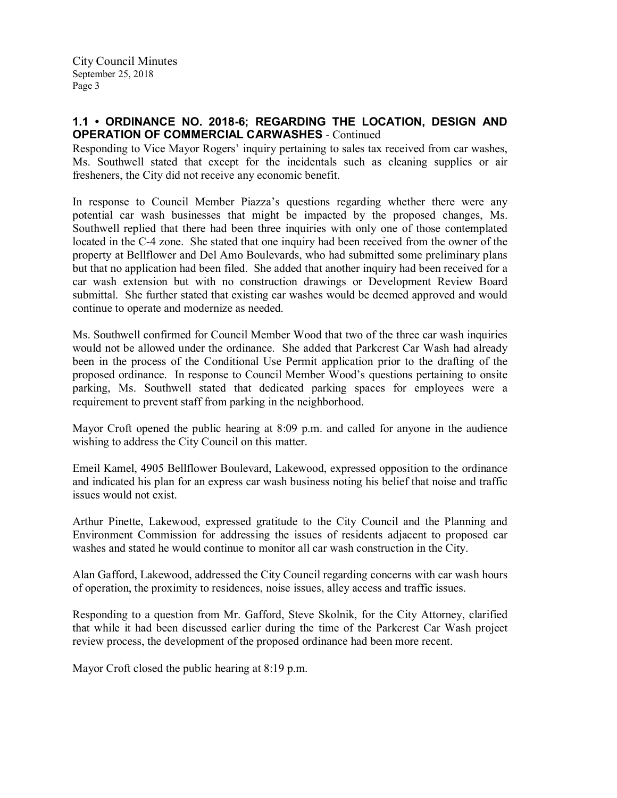## 1.1 • ORDINANCE NO. 2018-6; REGARDING THE LOCATION, DESIGN AND OPERATION OF COMMERCIAL CARWASHES - Continued

Responding to Vice Mayor Rogers' inquiry pertaining to sales tax received from car washes, Ms. Southwell stated that except for the incidentals such as cleaning supplies or air fresheners, the City did not receive any economic benefit.

In response to Council Member Piazza's questions regarding whether there were any potential car wash businesses that might be impacted by the proposed changes, Ms. Southwell replied that there had been three inquiries with only one of those contemplated located in the C-4 zone. She stated that one inquiry had been received from the owner of the property at Bellflower and Del Amo Boulevards, who had submitted some preliminary plans but that no application had been filed. She added that another inquiry had been received for a car wash extension but with no construction drawings or Development Review Board submittal. She further stated that existing car washes would be deemed approved and would continue to operate and modernize as needed.

Ms. Southwell confirmed for Council Member Wood that two of the three car wash inquiries would not be allowed under the ordinance. She added that Parkcrest Car Wash had already been in the process of the Conditional Use Permit application prior to the drafting of the proposed ordinance. In response to Council Member Wood's questions pertaining to onsite parking, Ms. Southwell stated that dedicated parking spaces for employees were a requirement to prevent staff from parking in the neighborhood.

Mayor Croft opened the public hearing at 8:09 p.m. and called for anyone in the audience wishing to address the City Council on this matter.

Emeil Kamel, 4905 Bellflower Boulevard, Lakewood, expressed opposition to the ordinance and indicated his plan for an express car wash business noting his belief that noise and traffic issues would not exist.

Arthur Pinette, Lakewood, expressed gratitude to the City Council and the Planning and Environment Commission for addressing the issues of residents adjacent to proposed car washes and stated he would continue to monitor all car wash construction in the City.

Alan Gafford, Lakewood, addressed the City Council regarding concerns with car wash hours of operation, the proximity to residences, noise issues, alley access and traffic issues.

Responding to a question from Mr. Gafford, Steve Skolnik, for the City Attorney, clarified that while it had been discussed earlier during the time of the Parkcrest Car Wash project review process, the development of the proposed ordinance had been more recent.

Mayor Croft closed the public hearing at 8:19 p.m.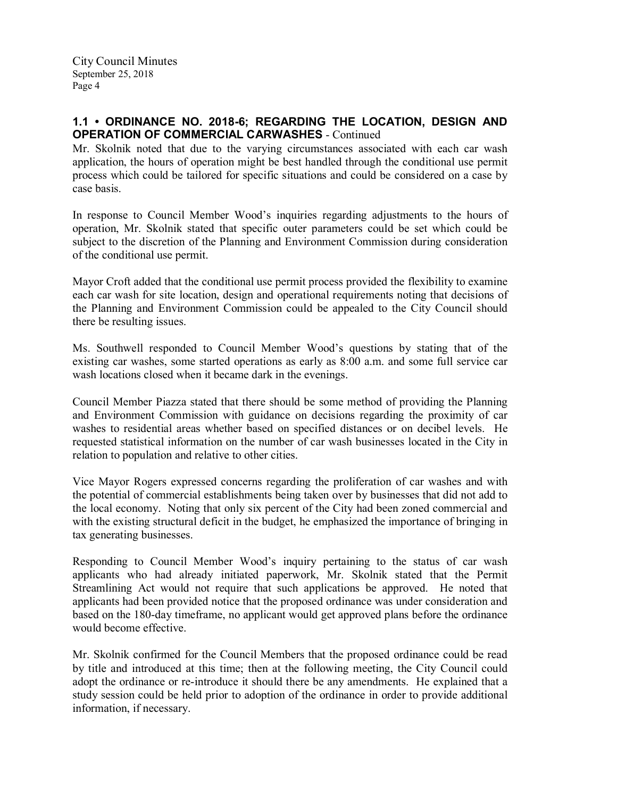## 1.1 • ORDINANCE NO. 2018-6; REGARDING THE LOCATION, DESIGN AND OPERATION OF COMMERCIAL CARWASHES - Continued

Mr. Skolnik noted that due to the varying circumstances associated with each car wash application, the hours of operation might be best handled through the conditional use permit process which could be tailored for specific situations and could be considered on a case by case basis.

In response to Council Member Wood's inquiries regarding adjustments to the hours of operation, Mr. Skolnik stated that specific outer parameters could be set which could be subject to the discretion of the Planning and Environment Commission during consideration of the conditional use permit.

Mayor Croft added that the conditional use permit process provided the flexibility to examine each car wash for site location, design and operational requirements noting that decisions of the Planning and Environment Commission could be appealed to the City Council should there be resulting issues.

Ms. Southwell responded to Council Member Wood's questions by stating that of the existing car washes, some started operations as early as 8:00 a.m. and some full service car wash locations closed when it became dark in the evenings.

Council Member Piazza stated that there should be some method of providing the Planning and Environment Commission with guidance on decisions regarding the proximity of car washes to residential areas whether based on specified distances or on decibel levels. He requested statistical information on the number of car wash businesses located in the City in relation to population and relative to other cities.

Vice Mayor Rogers expressed concerns regarding the proliferation of car washes and with the potential of commercial establishments being taken over by businesses that did not add to the local economy. Noting that only six percent of the City had been zoned commercial and with the existing structural deficit in the budget, he emphasized the importance of bringing in tax generating businesses.

Responding to Council Member Wood's inquiry pertaining to the status of car wash applicants who had already initiated paperwork, Mr. Skolnik stated that the Permit Streamlining Act would not require that such applications be approved. He noted that applicants had been provided notice that the proposed ordinance was under consideration and based on the 180-day timeframe, no applicant would get approved plans before the ordinance would become effective.

Mr. Skolnik confirmed for the Council Members that the proposed ordinance could be read by title and introduced at this time; then at the following meeting, the City Council could adopt the ordinance or re-introduce it should there be any amendments. He explained that a study session could be held prior to adoption of the ordinance in order to provide additional information, if necessary.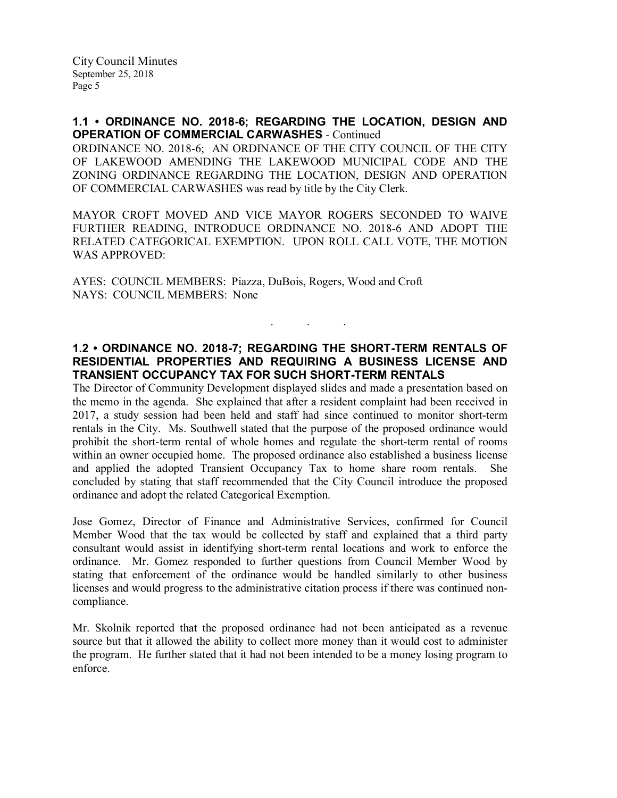### 1.1 • ORDINANCE NO. 2018-6; REGARDING THE LOCATION, DESIGN AND OPERATION OF COMMERCIAL CARWASHES - Continued

ORDINANCE NO. 2018-6; AN ORDINANCE OF THE CITY COUNCIL OF THE CITY OF LAKEWOOD AMENDING THE LAKEWOOD MUNICIPAL CODE AND THE ZONING ORDINANCE REGARDING THE LOCATION, DESIGN AND OPERATION OF COMMERCIAL CARWASHES was read by title by the City Clerk.

MAYOR CROFT MOVED AND VICE MAYOR ROGERS SECONDED TO WAIVE FURTHER READING, INTRODUCE ORDINANCE NO. 2018-6 AND ADOPT THE RELATED CATEGORICAL EXEMPTION. UPON ROLL CALL VOTE, THE MOTION WAS APPROVED:

AYES: COUNCIL MEMBERS: Piazza, DuBois, Rogers, Wood and Croft NAYS: COUNCIL MEMBERS: None

## 1.2 • ORDINANCE NO. 2018-7; REGARDING THE SHORT-TERM RENTALS OF RESIDENTIAL PROPERTIES AND REQUIRING A BUSINESS LICENSE AND TRANSIENT OCCUPANCY TAX FOR SUCH SHORT-TERM RENTALS

. . .

The Director of Community Development displayed slides and made a presentation based on the memo in the agenda. She explained that after a resident complaint had been received in 2017, a study session had been held and staff had since continued to monitor short-term rentals in the City. Ms. Southwell stated that the purpose of the proposed ordinance would prohibit the short-term rental of whole homes and regulate the short-term rental of rooms within an owner occupied home. The proposed ordinance also established a business license and applied the adopted Transient Occupancy Tax to home share room rentals. She concluded by stating that staff recommended that the City Council introduce the proposed ordinance and adopt the related Categorical Exemption.

Jose Gomez, Director of Finance and Administrative Services, confirmed for Council Member Wood that the tax would be collected by staff and explained that a third party consultant would assist in identifying short-term rental locations and work to enforce the ordinance. Mr. Gomez responded to further questions from Council Member Wood by stating that enforcement of the ordinance would be handled similarly to other business licenses and would progress to the administrative citation process if there was continued noncompliance.

Mr. Skolnik reported that the proposed ordinance had not been anticipated as a revenue source but that it allowed the ability to collect more money than it would cost to administer the program. He further stated that it had not been intended to be a money losing program to enforce.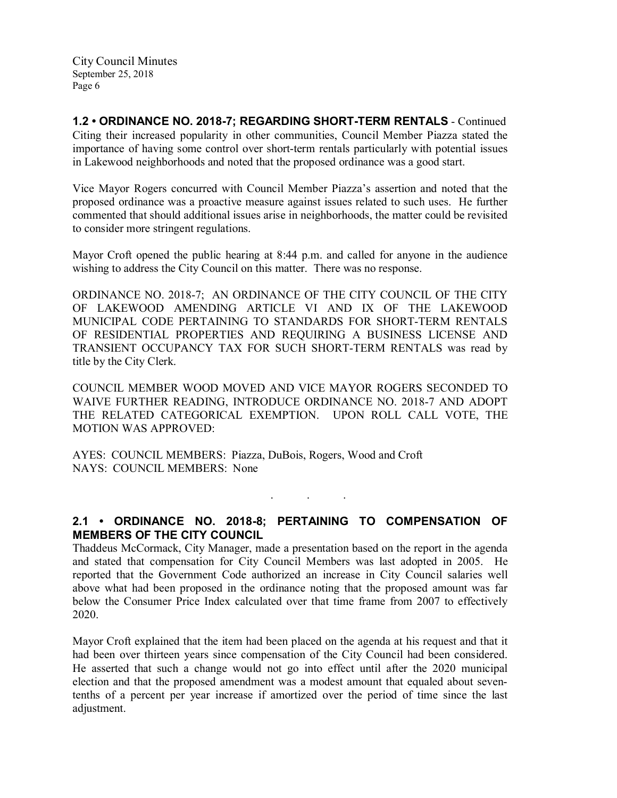1.2 • ORDINANCE NO. 2018-7; REGARDING SHORT-TERM RENTALS - Continued Citing their increased popularity in other communities, Council Member Piazza stated the importance of having some control over short-term rentals particularly with potential issues in Lakewood neighborhoods and noted that the proposed ordinance was a good start.

Vice Mayor Rogers concurred with Council Member Piazza's assertion and noted that the proposed ordinance was a proactive measure against issues related to such uses. He further commented that should additional issues arise in neighborhoods, the matter could be revisited to consider more stringent regulations.

Mayor Croft opened the public hearing at 8:44 p.m. and called for anyone in the audience wishing to address the City Council on this matter. There was no response.

ORDINANCE NO. 2018-7; AN ORDINANCE OF THE CITY COUNCIL OF THE CITY OF LAKEWOOD AMENDING ARTICLE VI AND IX OF THE LAKEWOOD MUNICIPAL CODE PERTAINING TO STANDARDS FOR SHORT-TERM RENTALS OF RESIDENTIAL PROPERTIES AND REQUIRING A BUSINESS LICENSE AND TRANSIENT OCCUPANCY TAX FOR SUCH SHORT-TERM RENTALS was read by title by the City Clerk.

COUNCIL MEMBER WOOD MOVED AND VICE MAYOR ROGERS SECONDED TO WAIVE FURTHER READING, INTRODUCE ORDINANCE NO. 2018-7 AND ADOPT THE RELATED CATEGORICAL EXEMPTION. UPON ROLL CALL VOTE, THE MOTION WAS APPROVED:

AYES: COUNCIL MEMBERS: Piazza, DuBois, Rogers, Wood and Croft NAYS: COUNCIL MEMBERS: None

. . .

# 2.1 • ORDINANCE NO. 2018-8; PERTAINING TO COMPENSATION OF MEMBERS OF THE CITY COUNCIL

Thaddeus McCormack, City Manager, made a presentation based on the report in the agenda and stated that compensation for City Council Members was last adopted in 2005. He reported that the Government Code authorized an increase in City Council salaries well above what had been proposed in the ordinance noting that the proposed amount was far below the Consumer Price Index calculated over that time frame from 2007 to effectively 2020.

Mayor Croft explained that the item had been placed on the agenda at his request and that it had been over thirteen years since compensation of the City Council had been considered. He asserted that such a change would not go into effect until after the 2020 municipal election and that the proposed amendment was a modest amount that equaled about seventenths of a percent per year increase if amortized over the period of time since the last adjustment.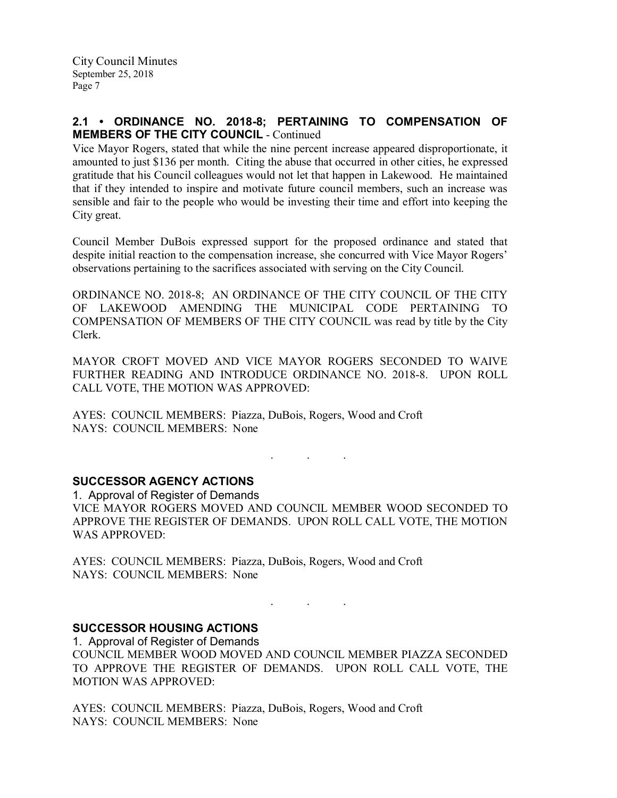## 2.1 • ORDINANCE NO. 2018-8; PERTAINING TO COMPENSATION OF MEMBERS OF THE CITY COUNCIL - Continued

Vice Mayor Rogers, stated that while the nine percent increase appeared disproportionate, it amounted to just \$136 per month. Citing the abuse that occurred in other cities, he expressed gratitude that his Council colleagues would not let that happen in Lakewood. He maintained that if they intended to inspire and motivate future council members, such an increase was sensible and fair to the people who would be investing their time and effort into keeping the City great.

Council Member DuBois expressed support for the proposed ordinance and stated that despite initial reaction to the compensation increase, she concurred with Vice Mayor Rogers' observations pertaining to the sacrifices associated with serving on the City Council.

ORDINANCE NO. 2018-8; AN ORDINANCE OF THE CITY COUNCIL OF THE CITY OF LAKEWOOD AMENDING THE MUNICIPAL CODE PERTAINING TO COMPENSATION OF MEMBERS OF THE CITY COUNCIL was read by title by the City Clerk.

MAYOR CROFT MOVED AND VICE MAYOR ROGERS SECONDED TO WAIVE FURTHER READING AND INTRODUCE ORDINANCE NO. 2018-8. UPON ROLL CALL VOTE, THE MOTION WAS APPROVED:

AYES: COUNCIL MEMBERS: Piazza, DuBois, Rogers, Wood and Croft NAYS: COUNCIL MEMBERS: None

### SUCCESSOR AGENCY ACTIONS

1. Approval of Register of Demands VICE MAYOR ROGERS MOVED AND COUNCIL MEMBER WOOD SECONDED TO APPROVE THE REGISTER OF DEMANDS. UPON ROLL CALL VOTE, THE MOTION WAS APPROVED:

. . .

AYES: COUNCIL MEMBERS: Piazza, DuBois, Rogers, Wood and Croft NAYS: COUNCIL MEMBERS: None

### SUCCESSOR HOUSING ACTIONS

1. Approval of Register of Demands COUNCIL MEMBER WOOD MOVED AND COUNCIL MEMBER PIAZZA SECONDED TO APPROVE THE REGISTER OF DEMANDS. UPON ROLL CALL VOTE, THE MOTION WAS APPROVED:

 $\mathcal{L}^{\text{max}}_{\text{max}}$  . The set of  $\mathcal{L}^{\text{max}}_{\text{max}}$ 

AYES: COUNCIL MEMBERS: Piazza, DuBois, Rogers, Wood and Croft NAYS: COUNCIL MEMBERS: None